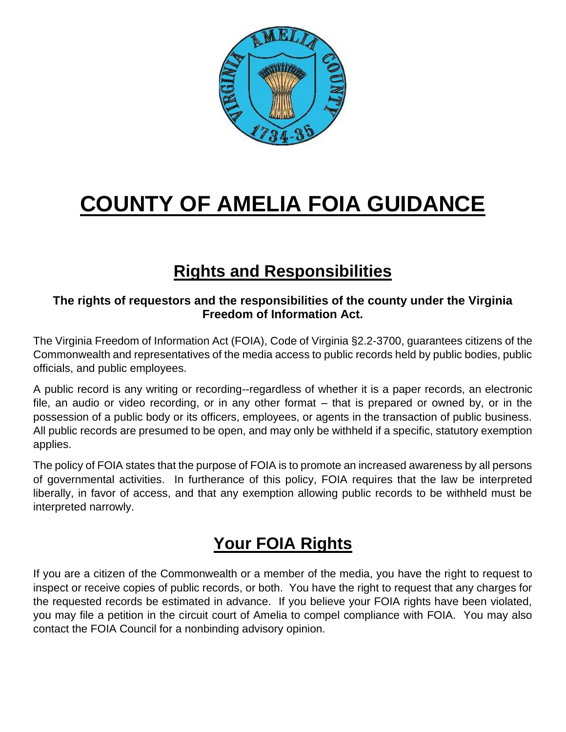

# **COUNTY OF AMELIA FOIA GUIDANCE**

# **Rights and Responsibilities**

#### **The rights of requestors and the responsibilities of the county under the Virginia Freedom of Information Act.**

The Virginia Freedom of Information Act (FOIA), Code of Virginia §2.2-3700, guarantees citizens of the Commonwealth and representatives of the media access to public records held by public bodies, public officials, and public employees.

A public record is any writing or recording--regardless of whether it is a paper records, an electronic file, an audio or video recording, or in any other format – that is prepared or owned by, or in the possession of a public body or its officers, employees, or agents in the transaction of public business. All public records are presumed to be open, and may only be withheld if a specific, statutory exemption applies.

The policy of FOIA states that the purpose of FOIA is to promote an increased awareness by all persons of governmental activities. In furtherance of this policy, FOIA requires that the law be interpreted liberally, in favor of access, and that any exemption allowing public records to be withheld must be interpreted narrowly.

# **Your FOIA Rights**

If you are a citizen of the Commonwealth or a member of the media, you have the right to request to inspect or receive copies of public records, or both. You have the right to request that any charges for the requested records be estimated in advance. If you believe your FOIA rights have been violated, you may file a petition in the circuit court of Amelia to compel compliance with FOIA. You may also contact the FOIA Council for a nonbinding advisory opinion.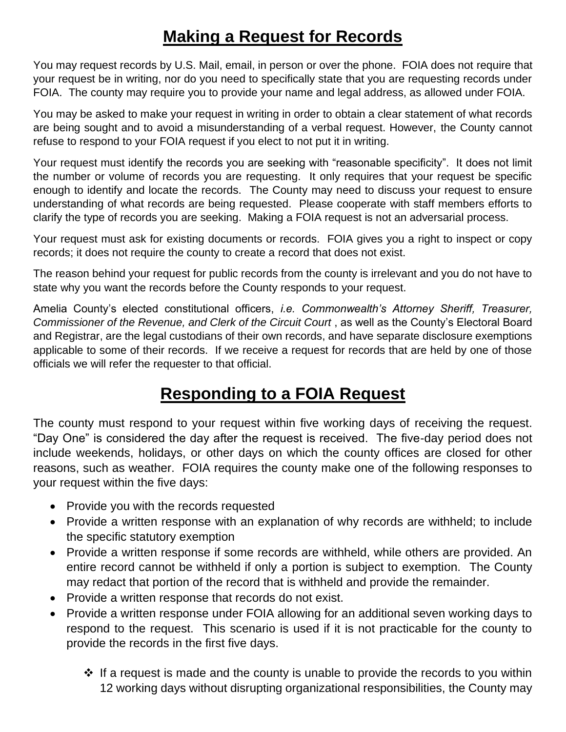## **Making a Request for Records**

You may request records by U.S. Mail, email, in person or over the phone. FOIA does not require that your request be in writing, nor do you need to specifically state that you are requesting records under FOIA. The county may require you to provide your name and legal address, as allowed under FOIA.

You may be asked to make your request in writing in order to obtain a clear statement of what records are being sought and to avoid a misunderstanding of a verbal request. However, the County cannot refuse to respond to your FOIA request if you elect to not put it in writing.

Your request must identify the records you are seeking with "reasonable specificity". It does not limit the number or volume of records you are requesting. It only requires that your request be specific enough to identify and locate the records. The County may need to discuss your request to ensure understanding of what records are being requested. Please cooperate with staff members efforts to clarify the type of records you are seeking. Making a FOIA request is not an adversarial process.

Your request must ask for existing documents or records. FOIA gives you a right to inspect or copy records; it does not require the county to create a record that does not exist.

The reason behind your request for public records from the county is irrelevant and you do not have to state why you want the records before the County responds to your request.

Amelia County's elected constitutional officers, *i.e. Commonwealth's Attorney Sheriff, Treasurer, Commissioner of the Revenue, and Clerk of the Circuit Court* , as well as the County's Electoral Board and Registrar, are the legal custodians of their own records, and have separate disclosure exemptions applicable to some of their records. If we receive a request for records that are held by one of those officials we will refer the requester to that official.

# **Responding to a FOIA Request**

The county must respond to your request within five working days of receiving the request. "Day One" is considered the day after the request is received. The five-day period does not include weekends, holidays, or other days on which the county offices are closed for other reasons, such as weather. FOIA requires the county make one of the following responses to your request within the five days:

- Provide you with the records requested
- Provide a written response with an explanation of why records are withheld; to include the specific statutory exemption
- Provide a written response if some records are withheld, while others are provided. An entire record cannot be withheld if only a portion is subject to exemption. The County may redact that portion of the record that is withheld and provide the remainder.
- Provide a written response that records do not exist.
- Provide a written response under FOIA allowing for an additional seven working days to respond to the request. This scenario is used if it is not practicable for the county to provide the records in the first five days.
	- $\cdot$  If a request is made and the county is unable to provide the records to you within 12 working days without disrupting organizational responsibilities, the County may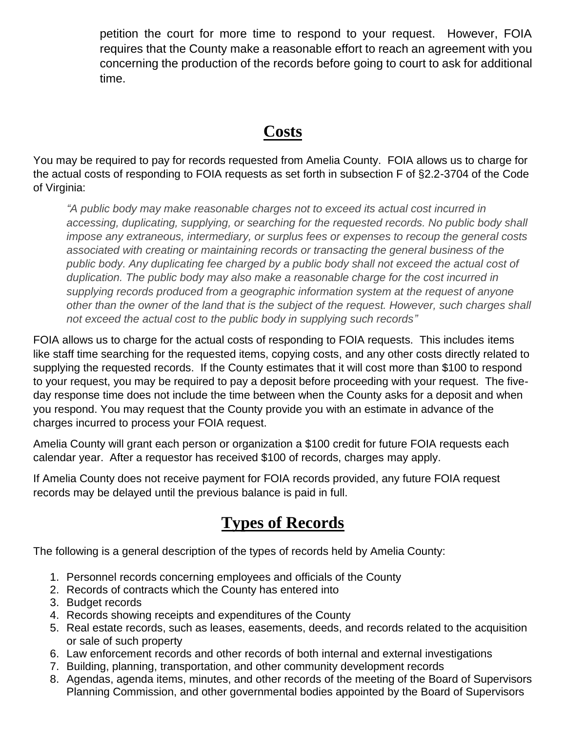petition the court for more time to respond to your request. However, FOIA requires that the County make a reasonable effort to reach an agreement with you concerning the production of the records before going to court to ask for additional time.

### **Costs**

You may be required to pay for records requested from Amelia County. FOIA allows us to charge for the actual costs of responding to FOIA requests as set forth in subsection F of §2.2-3704 of the Code of Virginia:

*"A public body may make reasonable charges not to exceed its actual cost incurred in accessing, duplicating, supplying, or searching for the requested records. No public body shall impose any extraneous, intermediary, or surplus fees or expenses to recoup the general costs associated with creating or maintaining records or transacting the general business of the*  public body. Any duplicating fee charged by a public body shall not exceed the actual cost of *duplication. The public body may also make a reasonable charge for the cost incurred in supplying records produced from a geographic information system at the request of anyone other than the owner of the land that is the subject of the request. However, such charges shall not exceed the actual cost to the public body in supplying such records"*

FOIA allows us to charge for the actual costs of responding to FOIA requests. This includes items like staff time searching for the requested items, copying costs, and any other costs directly related to supplying the requested records. If the County estimates that it will cost more than \$100 to respond to your request, you may be required to pay a deposit before proceeding with your request. The fiveday response time does not include the time between when the County asks for a deposit and when you respond. You may request that the County provide you with an estimate in advance of the charges incurred to process your FOIA request.

Amelia County will grant each person or organization a \$100 credit for future FOIA requests each calendar year. After a requestor has received \$100 of records, charges may apply.

If Amelia County does not receive payment for FOIA records provided, any future FOIA request records may be delayed until the previous balance is paid in full.

### **Types of Records**

The following is a general description of the types of records held by Amelia County:

- 1. Personnel records concerning employees and officials of the County
- 2. Records of contracts which the County has entered into
- 3. Budget records
- 4. Records showing receipts and expenditures of the County
- 5. Real estate records, such as leases, easements, deeds, and records related to the acquisition or sale of such property
- 6. Law enforcement records and other records of both internal and external investigations
- 7. Building, planning, transportation, and other community development records
- 8. Agendas, agenda items, minutes, and other records of the meeting of the Board of Supervisors Planning Commission, and other governmental bodies appointed by the Board of Supervisors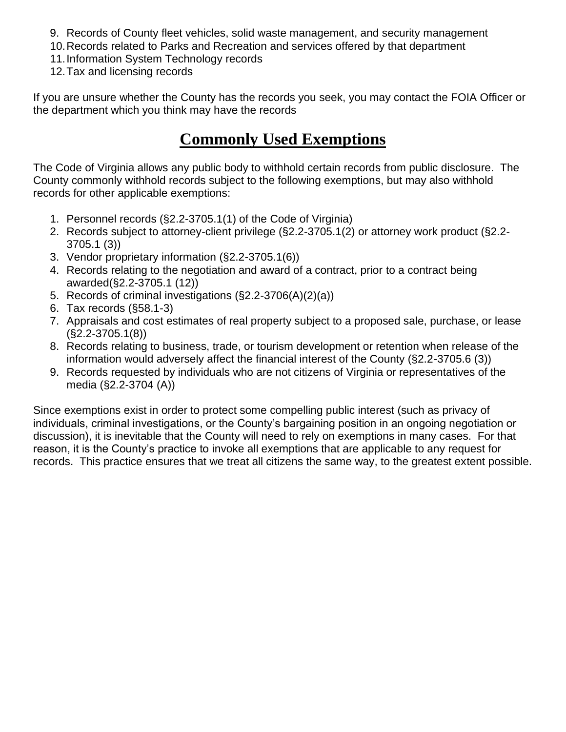- 9. Records of County fleet vehicles, solid waste management, and security management
- 10.Records related to Parks and Recreation and services offered by that department
- 11.Information System Technology records
- 12.Tax and licensing records

If you are unsure whether the County has the records you seek, you may contact the FOIA Officer or the department which you think may have the records

#### **Commonly Used Exemptions**

The Code of Virginia allows any public body to withhold certain records from public disclosure. The County commonly withhold records subject to the following exemptions, but may also withhold records for other applicable exemptions:

- 1. Personnel records (§2.2-3705.1(1) of the Code of Virginia)
- 2. Records subject to attorney-client privilege (§2.2-3705.1(2) or attorney work product (§2.2- 3705.1 (3))
- 3. Vendor proprietary information (§2.2-3705.1(6))
- 4. Records relating to the negotiation and award of a contract, prior to a contract being awarded(§2.2-3705.1 (12))
- 5. Records of criminal investigations (§2.2-3706(A)(2)(a))
- 6. Tax records (§58.1-3)
- 7. Appraisals and cost estimates of real property subject to a proposed sale, purchase, or lease (§2.2-3705.1(8))
- 8. Records relating to business, trade, or tourism development or retention when release of the information would adversely affect the financial interest of the County (§2.2-3705.6 (3))
- 9. Records requested by individuals who are not citizens of Virginia or representatives of the media (§2.2-3704 (A))

Since exemptions exist in order to protect some compelling public interest (such as privacy of individuals, criminal investigations, or the County's bargaining position in an ongoing negotiation or discussion), it is inevitable that the County will need to rely on exemptions in many cases. For that reason, it is the County's practice to invoke all exemptions that are applicable to any request for records. This practice ensures that we treat all citizens the same way, to the greatest extent possible.